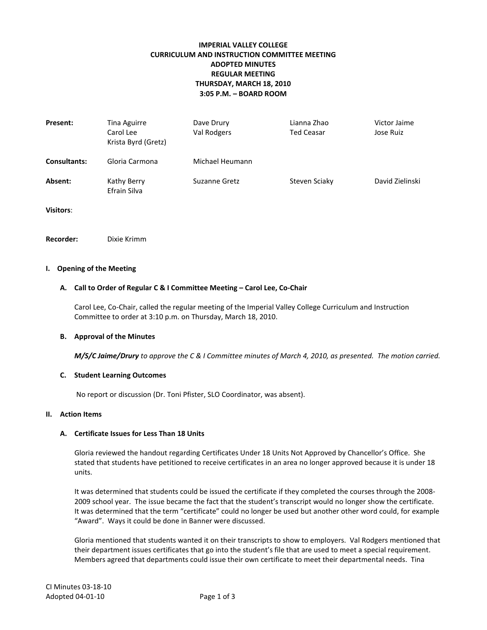# **IMPERIAL VALLEY COLLEGE CURRICULUM AND INSTRUCTION COMMITTEE MEETING ADOPTED MINUTES REGULAR MEETING THURSDAY, MARCH 18, 2010 3:05 P.M. – BOARD ROOM**

| Present:     | Tina Aguirre<br>Carol Lee<br>Krista Byrd (Gretz) | Dave Drury<br>Val Rodgers | Lianna Zhao<br><b>Ted Ceasar</b> | Victor Jaime<br>Jose Ruiz |
|--------------|--------------------------------------------------|---------------------------|----------------------------------|---------------------------|
| Consultants: | Gloria Carmona                                   | Michael Heumann           |                                  |                           |
| Absent:      | Kathy Berry<br>Efrain Silva                      | Suzanne Gretz             | Steven Sciaky                    | David Zielinski           |

**Visitors**:

**Recorder:** Dixie Krimm

#### **I. Opening of the Meeting**

## **A. Call to Order of Regular C & I Committee Meeting – Carol Lee, Co-Chair**

Carol Lee, Co-Chair, called the regular meeting of the Imperial Valley College Curriculum and Instruction Committee to order at 3:10 p.m. on Thursday, March 18, 2010.

#### **B. Approval of the Minutes**

*M/S/C Jaime/Drury to approve the C & I Committee minutes of March 4, 2010, as presented. The motion carried.*

#### **C. Student Learning Outcomes**

No report or discussion (Dr. Toni Pfister, SLO Coordinator, was absent).

#### **II. Action Items**

# **A. Certificate Issues for Less Than 18 Units**

Gloria reviewed the handout regarding Certificates Under 18 Units Not Approved by Chancellor's Office. She stated that students have petitioned to receive certificates in an area no longer approved because it is under 18 units.

It was determined that students could be issued the certificate if they completed the courses through the 2008- 2009 school year. The issue became the fact that the student's transcript would no longer show the certificate. It was determined that the term "certificate" could no longer be used but another other word could, for example "Award". Ways it could be done in Banner were discussed.

Gloria mentioned that students wanted it on their transcripts to show to employers. Val Rodgers mentioned that their department issues certificates that go into the student's file that are used to meet a special requirement. Members agreed that departments could issue their own certificate to meet their departmental needs. Tina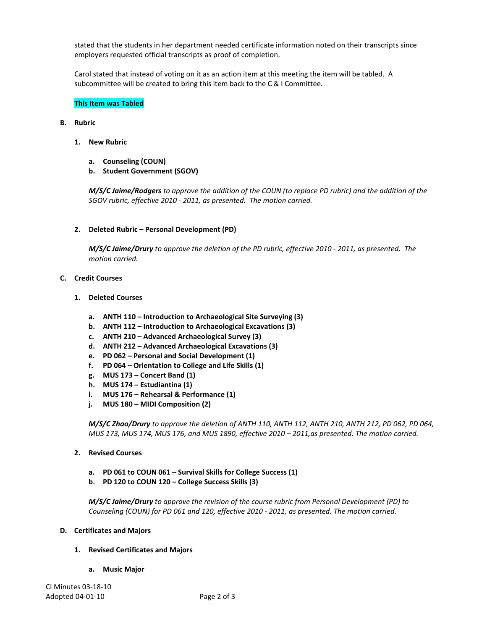stated that the students in her department needed certificate information noted on their transcripts since employers requested official transcripts as proof of completion.

Carol stated that instead of voting on it as an action item at this meeting the item will be tabled. A subcommittee will be created to bring this item back to the C & I Committee.

## **This Item was Tabled**

## **B. Rubric**

- **1. New Rubric**
	- **a. Counseling (COUN)**
	- **b. Student Government (SGOV)**

*M/S/C Jaime/Rodgers to approve the addition of the COUN (to replace PD rubric) and the addition of the SGOV rubric, effective 2010 - 2011, as presented. The motion carried.*

**2. Deleted Rubric – Personal Development (PD)**

*M/S/C Jaime/Drury to approve the deletion of the PD rubric, effective 2010 - 2011, as presented. The motion carried.*

# **C. Credit Courses**

- **1. Deleted Courses**
	- **a. ANTH 110 – Introduction to Archaeological Site Surveying (3)**
	- **b. ANTH 112 – Introduction to Archaeological Excavations (3)**
	- **c. ANTH 210 – Advanced Archaeological Survey (3)**
	- **d. ANTH 212 – Advanced Archaeological Excavations (3)**
	- **e. PD 062 – Personal and Social Development (1)**
	- **f. PD 064 – Orientation to College and Life Skills (1)**
	- **g. MUS 173 – Concert Band (1)**
	- **h. MUS 174 – Estudiantina (1)**
	- **i. MUS 176 – Rehearsal & Performance (1)**
	- **j. MUS 180 – MIDI Composition (2)**

*M/S/C Zhao/Drury to approve the deletion of ANTH 110, ANTH 112, ANTH 210, ANTH 212, PD 062, PD 064, MUS 173, MUS 174, MUS 176, and MUS 1890, effective 2010 – 2011,as presented. The motion carried.*

- **2. Revised Courses**
	- **a. PD 061 to COUN 061 – Survival Skills for College Success (1)**
	- **b. PD 120 to COUN 120 – College Success Skills (3)**

*M/S/C Jaime/Drury to approve the revision of the course rubric from Personal Development (PD) to Counseling (COUN) for PD 061 and 120, effective 2010 - 2011, as presented. The motion carried.*

#### **D. Certificates and Majors**

- **1. Revised Certificates and Majors** 
	- **a. Music Major**